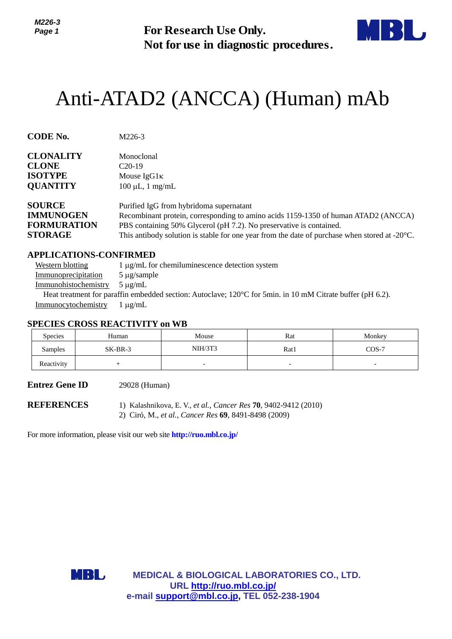*M226-3 Page 1*



# Anti-ATAD2 (ANCCA) (Human) mAb

| Page 1                                                                                        |                                                                                                                                                                                                 | <b>For Research Use Only.</b><br>Not for use in diagnostic procedures.                                                            |      |                                                                                                                                                                                     |  |  |
|-----------------------------------------------------------------------------------------------|-------------------------------------------------------------------------------------------------------------------------------------------------------------------------------------------------|-----------------------------------------------------------------------------------------------------------------------------------|------|-------------------------------------------------------------------------------------------------------------------------------------------------------------------------------------|--|--|
|                                                                                               | Anti-ATAD2 (ANCCA) (Human) mAb                                                                                                                                                                  |                                                                                                                                   |      |                                                                                                                                                                                     |  |  |
| <b>CODE No.</b>                                                                               | M226-3                                                                                                                                                                                          |                                                                                                                                   |      |                                                                                                                                                                                     |  |  |
| <b>CLONALITY</b><br><b>CLONE</b><br><b>ISOTYPE</b><br><b>QUANTITY</b>                         | Monoclonal<br>$C20-19$<br>Mouse $IgG1\kappa$<br>$100 \mu L$ , 1 mg/mL                                                                                                                           |                                                                                                                                   |      |                                                                                                                                                                                     |  |  |
| <b>SOURCE</b><br><b>IMMUNOGEN</b><br><b>FORMURATION</b><br><b>STORAGE</b>                     |                                                                                                                                                                                                 | Purified IgG from hybridoma supernatant<br>PBS containing 50% Glycerol (pH 7.2). No preservative is contained.                    |      | Recombinant protein, corresponding to amino acids 1159-1350 of human ATAD2 (ANCCA)<br>This antibody solution is stable for one year from the date of purchase when stored at -20°C. |  |  |
| <b>Western blotting</b><br>Immunoprecipitation<br>Immunohistochemistry<br>Immunocytochemistry | <b>APPLICATIONS-CONFIRMED</b><br>$5 \mu$ g/sample<br>$5 \mu g/mL$<br>Heat treatment for paraffin embedded section: Autoclave; 120°C for 5min. in 10 mM Citrate buffer (pH 6.2).<br>$1 \mu g/mL$ | 1 μg/mL for chemiluminescence detection system                                                                                    |      |                                                                                                                                                                                     |  |  |
| <b>Species</b>                                                                                | <b>SPECIES CROSS REACTIVITY on WB</b><br>Human                                                                                                                                                  | Mouse                                                                                                                             | Rat  | Monkey                                                                                                                                                                              |  |  |
| Samples                                                                                       | SK-BR-3                                                                                                                                                                                         | <b>NIH/3T3</b>                                                                                                                    | Rat1 | $COS-7$                                                                                                                                                                             |  |  |
| Reactivity                                                                                    | $^{+}$                                                                                                                                                                                          | the contract of the contract of the contract of the contract of the contract of                                                   |      |                                                                                                                                                                                     |  |  |
| <b>Entrez Gene ID</b>                                                                         | 29028 (Human)                                                                                                                                                                                   |                                                                                                                                   |      |                                                                                                                                                                                     |  |  |
| <b>REFERENCES</b>                                                                             |                                                                                                                                                                                                 | 1) Kalashnikova, E. V., et al., Cancer Res 70, 9402-9412 (2010)<br>2) Ciró, M., et al., Cancer Res 69, 8491-8498 (2009)           |      |                                                                                                                                                                                     |  |  |
|                                                                                               | For more information, please visit our web site <b>http://ruo.mbl.co.jp/</b>                                                                                                                    |                                                                                                                                   |      |                                                                                                                                                                                     |  |  |
|                                                                                               | MBL,                                                                                                                                                                                            | <b>MEDICAL &amp; BIOLOGICAL LABORATORIES CO., LTD.</b><br>URL http://ruo.mbl.co.jp/<br>e-mail support@mbl.co.jp, TEL 052-238-1904 |      |                                                                                                                                                                                     |  |  |

#### **APPLICATIONS-CONFIRMED**

| Western blotting     | $1 \mu g/mL$ for chemiluminescence detection system                           |
|----------------------|-------------------------------------------------------------------------------|
| Immunoprecipitation  | $5 \mu$ g/sample                                                              |
| Immunohistochemistry | $5 \mu$ g/mL                                                                  |
|                      | Heat treatment for paraffin embedded section: Autoclave; 120°C for 5min. in 1 |

#### **SPECIES CROSS REACTIVITY on WB**

| <b>Species</b> | Human     | Mouse          | Rat  | Monkey                   |
|----------------|-----------|----------------|------|--------------------------|
| Samples        | $SK-BR-3$ | <b>NIH/3T3</b> | Rat1 | $COS-7$                  |
| Reactivity     |           | -              | -    | $\overline{\phantom{0}}$ |

#### **Entrez Gene ID** 29028 (Human)

- **REFERENCES** 1) Kalashnikova, E. V., *et al., Cancer Res* **70**, 9402-9412 (2010)
	- 2) Ciró, M., *et al., Cancer Res* **69**, 8491-8498 (2009)

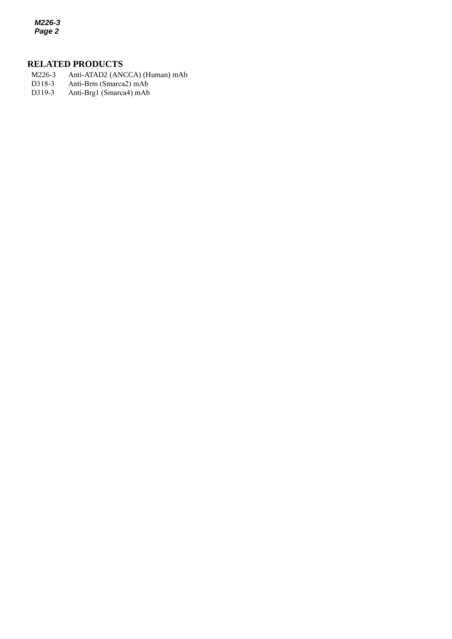*M226-3 Page 2*

# **RELATED PRODUCTS**

- M226-3 Anti-ATAD2 (ANCCA) (Human) mAb<br>D318-3 Anti-Brm (Smarca2) mAb
- *2* D318-3 Anti-Brm (Smarca2) mAb
- D319-3 Anti-Brg1 (Smarca4) mAb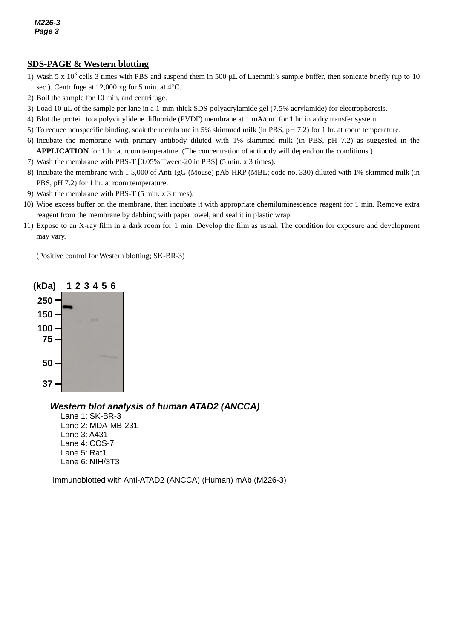## *e* **SDS-PAGE & Western blotting**

- *3* sec.). Centrifuge at 12,000 xg for 5 min. at 4°C. 1) Wash 5 x  $10^6$  cells 3 times with PBS and suspend them in 500  $\mu$ L of Laemmli's sample buffer, then sonicate briefly (up to 10
- 2) Boil the sample for 10 min. and centrifuge.
- 3) Load 10 µL of the sample per lane in a 1-mm-thick SDS-polyacrylamide gel (7.5% acrylamide) for electrophoresis.
- 4) Blot the protein to a polyvinylidene difluoride (PVDF) membrane at 1 mA/cm<sup>2</sup> for 1 hr. in a dry transfer system.
- 5) To reduce nonspecific binding, soak the membrane in 5% skimmed milk (in PBS, pH 7.2) for 1 hr. at room temperature.
- 6) Incubate the membrane with primary antibody diluted with 1% skimmed milk (in PBS, pH 7.2) as suggested in the **APPLICATION** for 1 hr. at room temperature. (The concentration of antibody will depend on the conditions.)
- 7) Wash the membrane with PBS-T [0.05% Tween-20 in PBS] (5 min. x 3 times).
- 8) Incubate the membrane with 1:5,000 of [Anti-IgG \(Mouse\) pAb-HRP](http://ruo.mbl.co.jp/g/dtl/A/330/) (MBL; code no. 330) diluted with 1% skimmed milk (in PBS, pH 7.2) for 1 hr. at room temperature.
- 9) Wash the membrane with PBS-T (5 min. x 3 times).
- 10) Wipe excess buffer on the membrane, then incubate it with appropriate chemiluminescence reagent for 1 min. Remove extra reagent from the membrane by dabbing with paper towel, and seal it in plastic wrap.
- 11) Expose to an X-ray film in a dark room for 1 min. Develop the film as usual. The condition for exposure and development may vary.

(Positive control for Western blotting; SK-BR-3)



#### *Western blot analysis of human ATAD2 (ANCCA)*

Lane 1: SK-BR-3 Lane 2: MDA-MB-231 Lane 3: A431 Lane 4: COS-7 Lane 5: Rat1 Lane 6: NIH/3T3

Immunoblotted with Anti-ATAD2 (ANCCA) (Human) mAb (M226-3)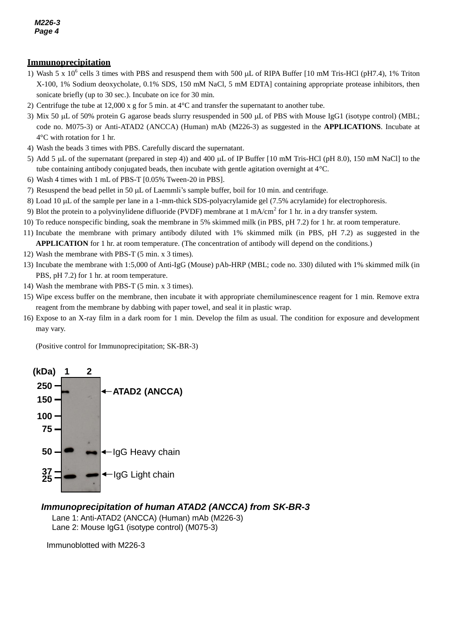#### **Immunoprecipitation**

- **EXALUTE CONDUCT CONDUCT THE CONDUCT TEAM**<br>1) Wash 5 x 10<sup>6</sup> cells 3 times with PBS and resuspend them with 500 μL of RIPA Buffer [10 mM Tris-HCl (pH7.4), 1% Triton *3* X-100, 1% Sodium deoxycholate, 0.1% SDS, 150 mM NaCl, 5 mM EDTA] containing appropriate protease inhibitors, then sonicate briefly (up to 30 sec.). Incubate on ice for 30 min.
- 2) Centrifuge the tube at 12,000 x g for 5 min. at 4°C and transfer the supernatant to another tube.
- 3) Mix 50  $\mu$ L of 50% protein G agarose beads slurry resuspended in 500  $\mu$ L of PBS with Mouse IgG1 (isotype control) (MBL; code no. M075-3) or Anti-ATAD2 (ANCCA) (Human) mAb (M226-3) as suggested in the **APPLICATIONS**. Incubate at 4°C with rotation for 1 hr.
- 4) Wash the beads 3 times with PBS. Carefully discard the supernatant.
- 5) Add 5  $\mu$ L of the supernatant (prepared in step 4)) and 400  $\mu$ L of IP Buffer [10 mM Tris-HCl (pH 8.0), 150 mM NaCl] to the tube containing antibody conjugated beads, then incubate with gentle agitation overnight at 4°C.
- 6) Wash 4 times with 1 mL of PBS-T [0.05% Tween-20 in PBS].
- 7) Resuspend the bead pellet in 50  $\mu$ L of Laemmli's sample buffer, boil for 10 min. and centrifuge.
- 8) Load 10 µL of the sample per lane in a 1-mm-thick SDS-polyacrylamide gel (7.5% acrylamide) for electrophoresis.
- 9) Blot the protein to a polyvinylidene difluoride (PVDF) membrane at 1 mA/cm<sup>2</sup> for 1 hr. in a dry transfer system.
- 10) To reduce nonspecific binding, soak the membrane in 5% skimmed milk (in PBS, pH 7.2) for 1 hr. at room temperature.
- 11) Incubate the membrane with primary antibody diluted with 1% skimmed milk (in PBS, pH 7.2) as suggested in the **APPLICATION** for 1 hr. at room temperature. (The concentration of antibody will depend on the conditions.)
- 12) Wash the membrane with PBS-T (5 min. x 3 times).
- 13) Incubate the membrane with 1:5,000 of [Anti-IgG \(Mouse\) pAb-HRP](http://ruo.mbl.co.jp/g/dtl/A/330/) (MBL; code no. 330) diluted with 1% skimmed milk (in PBS, pH 7.2) for 1 hr. at room temperature.
- 14) Wash the membrane with PBS-T (5 min. x 3 times).
- 15) Wipe excess buffer on the membrane, then incubate it with appropriate chemiluminescence reagent for 1 min. Remove extra reagent from the membrane by dabbing with paper towel, and seal it in plastic wrap.
- 16) Expose to an X-ray film in a dark room for 1 min. Develop the film as usual. The condition for exposure and development may vary.

(Positive control for Immunoprecipitation; SK-BR-3)



#### *Immunoprecipitation of human ATAD2 (ANCCA) from SK-BR-3*

Lane 1: Anti-ATAD2 (ANCCA) (Human) mAb (M226-3) Lane 2: Mouse IgG1 (isotype control) (M075-3)

Immunoblotted with M226-3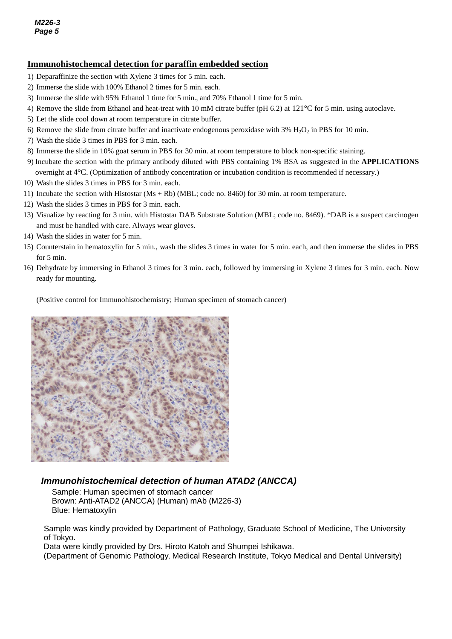## **Immunohistochemcal detection for paraffin embedded section**

- 1) Deparaffinize the section with Xylene 3 times for 5 min. each.
- *3* 2) Immerse the slide with 100% Ethanol 2 times for 5 min. each.
- 3) Immerse the slide with 95% Ethanol 1 time for 5 min., and 70% Ethanol 1 time for 5 min.
- 4) Remove the slide from Ethanol and heat-treat with 10 mM citrate buffer (pH 6.2) at 121°C for 5 min. using autoclave.
- 5) Let the slide cool down at room temperature in citrate buffer.
- 6) Remove the slide from citrate buffer and inactivate endogenous peroxidase with  $3\%$  H<sub>2</sub>O<sub>2</sub> in PBS for 10 min.
- 7) Wash the slide 3 times in PBS for 3 min. each.
- 8) Immerse the slide in 10% goat serum in PBS for 30 min. at room temperature to block non-specific staining.
- 9) Incubate the section with the primary antibody diluted with PBS containing 1% BSA as suggested in the **APPLICATIONS**  overnight at 4°C. (Optimization of antibody concentration or incubation condition is recommended if necessary.)
- 10) Wash the slides 3 times in PBS for 3 min. each.
- 11) Incubate the section with Histostar (Ms + Rb) (MBL; code no. 8460) for 30 min. at room temperature.
- 12) Wash the slides 3 times in PBS for 3 min. each.
- 13) Visualize by reacting for 3 min. with Histostar DAB Substrate Solution (MBL; code no. 8469). \*DAB is a suspect carcinogen and must be handled with care. Always wear gloves.
- 14) Wash the slides in water for 5 min.
- 15) Counterstain in hematoxylin for 5 min., wash the slides 3 times in water for 5 min. each, and then immerse the slides in PBS for 5 min.
- 16) Dehydrate by immersing in Ethanol 3 times for 3 min. each, followed by immersing in Xylene 3 times for 3 min. each. Now ready for mounting.

(Positive control for Immunohistochemistry; Human specimen of stomach cancer)



## *Immunohistochemical detection of human ATAD2 (ANCCA)*

Sample: Human specimen of stomach cancer Brown: Anti-ATAD2 (ANCCA) (Human) mAb (M226-3) Blue: Hematoxylin

Sample was kindly provided by Department of Pathology, Graduate School of Medicine, The University of Tokyo.

Data were kindly provided by Drs. Hiroto Katoh and Shumpei Ishikawa.

(Department of Genomic Pathology, Medical Research Institute, Tokyo Medical and Dental University)